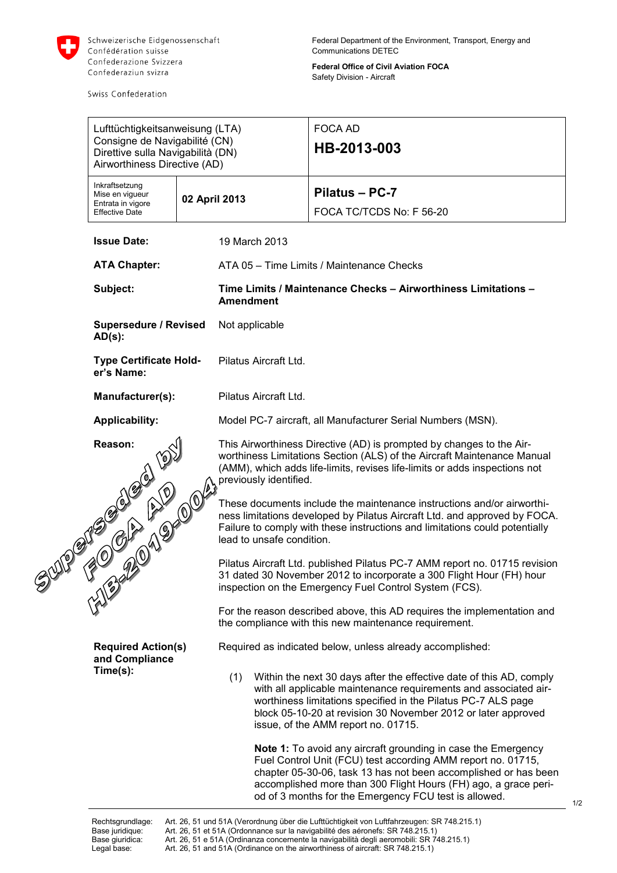

Swiss Confederation

**Federal Office of Civil Aviation FOCA** Safety Division - Aircraft

|          | Lufttüchtigkeitsanweisung (LTA)<br>Consigne de Navigabilité (CN)<br>Direttive sulla Navigabilità (DN)<br>Airworthiness Directive (AD) |                        |                                                                                                                                                                                                                               | <b>FOCA AD</b><br>HB-2013-003                                                                                                                                                                                                                                                                                                       |  |
|----------|---------------------------------------------------------------------------------------------------------------------------------------|------------------------|-------------------------------------------------------------------------------------------------------------------------------------------------------------------------------------------------------------------------------|-------------------------------------------------------------------------------------------------------------------------------------------------------------------------------------------------------------------------------------------------------------------------------------------------------------------------------------|--|
|          | Inkraftsetzung<br>Mise en vigueur<br>Entrata in vigore<br><b>Effective Date</b>                                                       |                        | 02 April 2013                                                                                                                                                                                                                 | Pilatus - PC-7<br>FOCA TC/TCDS No: F 56-20                                                                                                                                                                                                                                                                                          |  |
|          | <b>Issue Date:</b><br><b>ATA Chapter:</b>                                                                                             |                        | 19 March 2013                                                                                                                                                                                                                 |                                                                                                                                                                                                                                                                                                                                     |  |
|          |                                                                                                                                       |                        | ATA 05 - Time Limits / Maintenance Checks                                                                                                                                                                                     |                                                                                                                                                                                                                                                                                                                                     |  |
| Subject: |                                                                                                                                       |                        | <b>Amendment</b>                                                                                                                                                                                                              | Time Limits / Maintenance Checks - Airworthiness Limitations -                                                                                                                                                                                                                                                                      |  |
|          | <b>Supersedure / Revised</b><br>$AD(s)$ :                                                                                             |                        | Not applicable                                                                                                                                                                                                                |                                                                                                                                                                                                                                                                                                                                     |  |
|          | <b>Type Certificate Hold-</b><br>er's Name:                                                                                           |                        | Pilatus Aircraft Ltd.                                                                                                                                                                                                         |                                                                                                                                                                                                                                                                                                                                     |  |
|          | Manufacturer(s):                                                                                                                      |                        | Pilatus Aircraft Ltd.                                                                                                                                                                                                         |                                                                                                                                                                                                                                                                                                                                     |  |
|          | <b>Applicability:</b>                                                                                                                 |                        | Model PC-7 aircraft, all Manufacturer Serial Numbers (MSN).                                                                                                                                                                   |                                                                                                                                                                                                                                                                                                                                     |  |
|          | Reason:<br>3320 M Droit                                                                                                               | previously identified. | This Airworthiness Directive (AD) is prompted by changes to the Air-<br>worthiness Limitations Section (ALS) of the Aircraft Maintenance Manual<br>(AMM), which adds life-limits, revises life-limits or adds inspections not |                                                                                                                                                                                                                                                                                                                                     |  |
|          |                                                                                                                                       |                        | lead to unsafe condition.                                                                                                                                                                                                     | These documents include the maintenance instructions and/or airworthi-<br>ness limitations developed by Pilatus Aircraft Ltd. and approved by FOCA.<br>Failure to comply with these instructions and limitations could potentially                                                                                                  |  |
|          |                                                                                                                                       |                        |                                                                                                                                                                                                                               | Pilatus Aircraft Ltd. published Pilatus PC-7 AMM report no. 01715 revision<br>31 dated 30 November 2012 to incorporate a 300 Flight Hour (FH) hour<br>inspection on the Emergency Fuel Control System (FCS).                                                                                                                        |  |
|          |                                                                                                                                       |                        |                                                                                                                                                                                                                               | For the reason described above, this AD requires the implementation and<br>the compliance with this new maintenance requirement.                                                                                                                                                                                                    |  |
|          | <b>Required Action(s)</b><br>and Compliance<br>Time(s):                                                                               |                        | Required as indicated below, unless already accomplished:                                                                                                                                                                     |                                                                                                                                                                                                                                                                                                                                     |  |
|          |                                                                                                                                       |                        | (1)                                                                                                                                                                                                                           | Within the next 30 days after the effective date of this AD, comply<br>with all applicable maintenance requirements and associated air-<br>worthiness limitations specified in the Pilatus PC-7 ALS page<br>block 05-10-20 at revision 30 November 2012 or later approved<br>issue, of the AMM report no. 01715.                    |  |
|          |                                                                                                                                       |                        |                                                                                                                                                                                                                               | <b>Note 1:</b> To avoid any aircraft grounding in case the Emergency<br>Fuel Control Unit (FCU) test according AMM report no. 01715,<br>chapter 05-30-06, task 13 has not been accomplished or has been<br>accomplished more than 300 Flight Hours (FH) ago, a grace peri-<br>od of 3 months for the Emergency FCU test is allowed. |  |